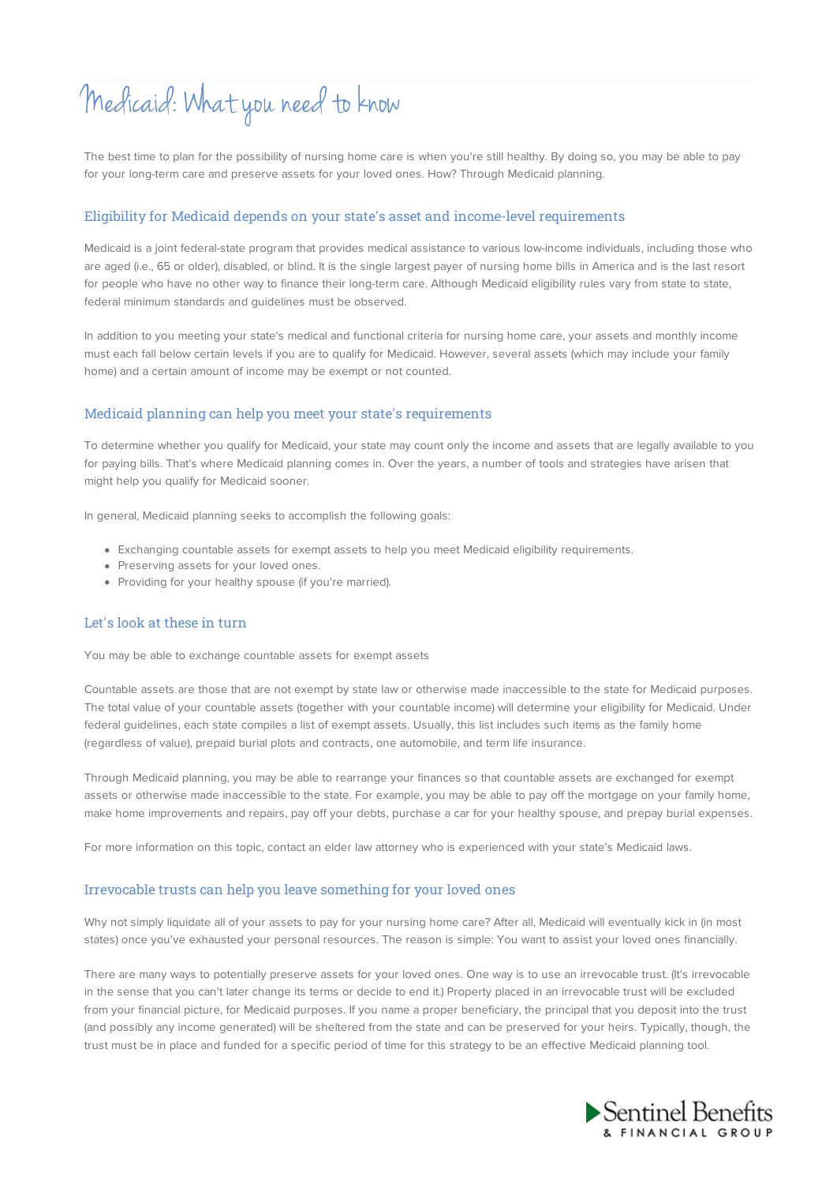# Medicaid: What you need to know

The best time to plan for the possibility of nursing home care is when you're still healthy. By doing so, you may be able to pay for your long-term care and preserve assets for your loved ones. How? Through Medicaid planning.

#### Eligibility for Medicaid depends on your state's asset and income-level requirements

Medicaid is a joint federal-state program that provides medical assistance to various low-income individuals, including those who are aged (i.e., 65 or older), disabled, or blind. It is the single largest payer of nursing home bills in America and is the last resort for people who have no other way to finance their long-term care. Although Medicaid eligibility rules vary from state to state, federal minimum standards and guidelines must be observed.

In addition to you meeting your state's medical and functional criteria for nursing home care, your assets and monthly income must each fall below certain levels if you are to qualify for Medicaid. However, several assets (which may include your family home) and a certain amount of income may be exempt or not counted.

#### Medicaid planning can help you meet your state's requirements

To determine whether you qualify for Medicaid, your state may count only the income and assets that are legally available to you for paying bills. That's where Medicaid planning comes in. Over the years, a number of tools and strategies have arisen that might help you qualify for Medicaid sooner.

In general, Medicaid planning seeks to accomplish the following goals:

- Exchanging countable assets for exempt assets to help you meet Medicaid eligibility requirements.
- Preserving assets for your loved ones.
- Providing for your healthy spouse (if you're married).

### Let's look at these in turn

You may be able to exchange countable assets for exempt assets

Countable assets are those that are not exempt by state law or otherwise made inaccessible to the state for Medicaid purposes. The total value of your countable assets (together with your countable income) will determine your eligibility for Medicaid. Under federal guidelines, each state compiles a list of exempt assets. Usually, this list includes such items as the family home (regardless of value), prepaid burial plots and contracts, one automobile, and term life insurance.

Through Medicaid planning, you may be able to rearrange your finances so that countable assets are exchanged for exempt assets or otherwise made inaccessible to the state. For example, you may be able to pay off the mortgage on your family home, make home improvements and repairs, pay off your debts, purchase a car for your healthy spouse, and prepay burial expenses.

For more information on this topic, contact an elder law attorney who is experienced with your state's Medicaid laws.

#### Irrevocable trusts can help you leave something for your loved ones

Why not simply liquidate all of your assets to pay for your nursing home care? After all, Medicaid will eventually kick in (in most states) once you've exhausted your personal resources. The reason is simple: You want to assist your loved ones financially.

There are many ways to potentially preserve assets for your loved ones. One way is to use an irrevocable trust. (It's irrevocable in the sense that you can't later change its terms or decide to end it.) Property placed in an irrevocable trust will be excluded from your financial picture, for Medicaid purposes. If you name a proper beneficiary, the principal that you deposit into the trust (and possibly any income generated) will be sheltered from the state and can be preserved for your heirs. Typically, though, the trust must be in place and funded for a specific period of time for this strategy to be an effective Medicaid planning tool.

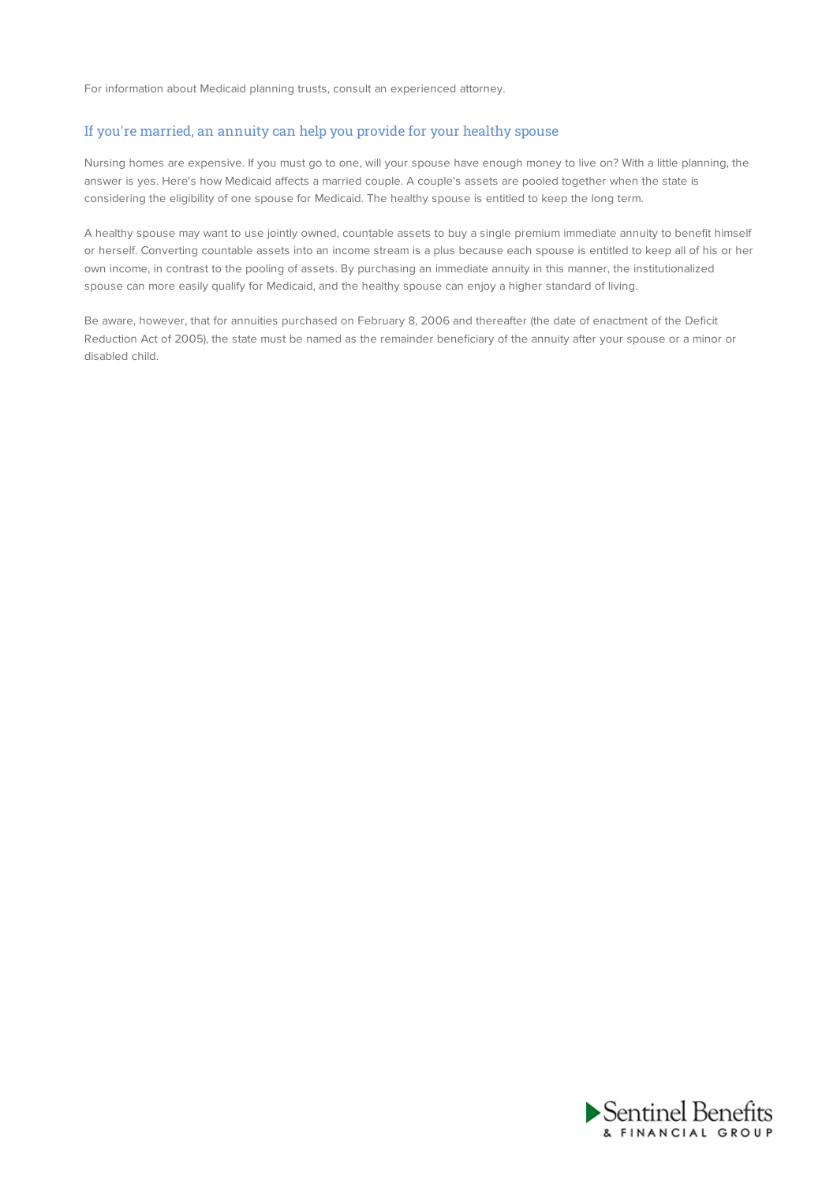For information about Medicaid planning trusts, consult an experienced attorney.

### If you're married, an annuity can help you provide for your healthy spouse

Nursing homes are expensive. If you must go to one, will your spouse have enough money to live on? With a little planning, the answer is yes. Here's how Medicaid affects a married couple. A couple's assets are pooled together when the state is considering the eligibility of one spouse for Medicaid. The healthy spouse is entitled to keep the long term.

A healthy spouse may want to use jointly owned, countable assets to buy a single premium immediate annuity to benefit himself or herself. Converting countable assets into an income stream is a plus because each spouse is entitled to keep all of his or her own income, in contrast to the pooling of assets. By purchasing an immediate annuity in this manner, the institutionalized spouse can more easily qualify for Medicaid, and the healthy spouse can enjoy a higher standard of living.

Be aware, however, that for annuities purchased on February 8, 2006 and thereafter (the date of enactment of the Deficit Reduction Act of 2005), the state must be named as the remainder beneficiary of the annuity after your spouse or a minor or disabled child.